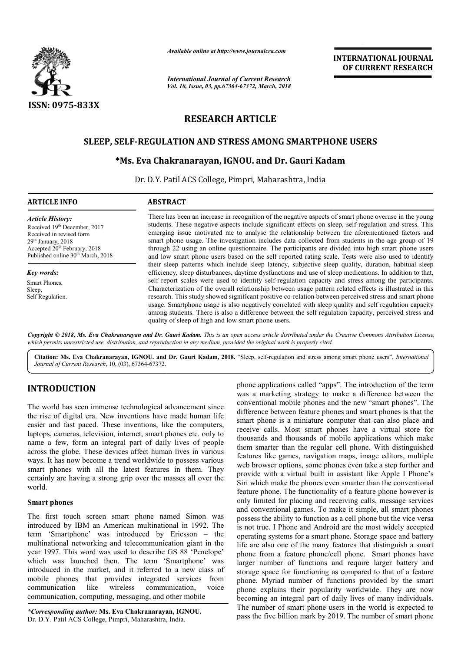

*Available online at http://www.journalcra.com*

*International Journal of Current Research Vol. 10, Issue, 03, pp.67364-67372, March, 2018*

**INTERNATIONAL JOURNAL OF CURRENT RESEARCH**

# **RESEARCH ARTICLE**

# **SLEEP, SELF-REGULATION AND STRESS AMONG SMARTPHONE USERS REGULATION Ms. IGNOU. and Dr. Gauri Kadam**

# **\*Ms. Eva Chakranarayan, IGNOU and Dr.**

Dr. D.Y. Patil ACS College, Pimpri, Maharashtra, India

| <b>ARTICLE INFO</b>                                                                                                                                                                                        | <b>ABSTRACT</b>                                                                                                                                                                                                                                                                                                                                                                                                                                                                                                                                                                                                                                                                                                                              |
|------------------------------------------------------------------------------------------------------------------------------------------------------------------------------------------------------------|----------------------------------------------------------------------------------------------------------------------------------------------------------------------------------------------------------------------------------------------------------------------------------------------------------------------------------------------------------------------------------------------------------------------------------------------------------------------------------------------------------------------------------------------------------------------------------------------------------------------------------------------------------------------------------------------------------------------------------------------|
| <b>Article History:</b><br>Received 19th December, 2017<br>Received in revised form<br>$29th$ January, $2018$<br>Accepted 20 <sup>th</sup> February, 2018<br>Published online 30 <sup>th</sup> March, 2018 | There has been an increase in recognition of the negative aspects of smart phone overuse in the young<br>students. These negative aspects include significant effects on sleep, self-regulation and stress. This<br>emerging issue motivated me to analyse the relationship between the aforementioned factors and<br>smart phone usage. The investigation includes data collected from students in the age group of 19<br>through 22 using an online questionnaire. The participants are divided into high smart phone users<br>and low smart phone users based on the self reported rating scale. Tests were also used to identify<br>their sleep patterns which include sleep latency, subjective sleep quality, duration, habitual sleep |
| <b>Key words:</b>                                                                                                                                                                                          | efficiency, sleep disturbances, daytime dysfunctions and use of sleep medications. In addition to that,                                                                                                                                                                                                                                                                                                                                                                                                                                                                                                                                                                                                                                      |
| Smart Phones,<br>Sleep,<br>Self Regulation.                                                                                                                                                                | self report scales were used to identify self-regulation capacity and stress among the participants.<br>Characterization of the overall relationship between usage pattern related effects is illustrated in this<br>research. This study showed significant positive co-relation between perceived stress and smart phone<br>usage. Smartphone usage is also negatively correlated with sleep quality and self regulation capacity<br>among students. There is also a difference between the self regulation capacity, perceived stress and<br>quality of sleep of high and low smart phone users.                                                                                                                                          |
|                                                                                                                                                                                                            | Copyright © 2018, Ms. Eva Chakranarayan and Dr. Gauri Kadam. This is an open access article distributed under the Creative Commons Attribution License,                                                                                                                                                                                                                                                                                                                                                                                                                                                                                                                                                                                      |

*Copyright © 2018, Ms. Eva Chakranarayan and Dr. Gauri Kadam which permits unrestricted use, distribution, and reproduction Kadam. This is an open access article distributed under the in any medium, provided the original work is properly cited. Creative Commons Attribution License,*

Citation: Ms. Eva Chakranarayan, IGNOU. and Dr. Gauri Kadam, 2018. "Sleep, self-regulation and stress among smart phone users", *International Journal of Current Research*, 10, (03), 67364-67372.

# **INTRODUCTION**

The world has seen immense technological advancement since the rise of digital era. New inventions have made human life easier and fast paced. These inventions, like the computers, laptops, cameras, television, internet, smart phones etc. only to name a few, form an integral part of daily lives of people across the globe. These devices affect human lives in various ways. It has now become a trend worldwide to possess various smart phones with all the latest features in them. They certainly are having a strong grip over the masses all over the world.

# **Smart phones**

The first touch screen smart phone named Simon was introduced by IBM an American multinational in 1992. The term 'Smartphone' was introduced by Ericsson – the multinational networking and telecommunication giant in the year 1997. This word was used to describe GS 88 'Penelope' which was launched then. The term 'Smartphone' was introduced in the market, and it referred to a new class of mobile phones that provides integrated services from communication like wireless communication, communication, computing, messaging, and other mobile voice

*\*Corresponding author:* **Ms. Eva Chakranarayan, IGNOU IGNOU.** Dr. D.Y. Patil ACS College, Pimpri, Maharashtra, India.

phone applications called "apps". The introduction of the term phone applications called "apps". The introduction of the term was a marketing strategy to make a difference between the conventional mobile phones and the new "smart phones". The difference between feature phones and smart phones is that the smart phone is a miniature computer that can also place and receive calls. Most smart phones have a virtual store for thousands and thousands of mobile applications which make them smarter than the regular cell phone. With distinguished features like games, navigation maps, image editors, multiple web browser options, some phones even take a step further and provide with a virtual built in assistant like Apple I Phone's Siri which make the phones even smarter than the conventional feature phone. The functionality of a feature phone however is only limited for placing and receiving calls, message services and conventional games. To make it simple, all smart possess the ability to function as a cell phone but the vice versa is not true. I Phone and Android are the most widely accepted operating systems for a smart phone. Storage space and battery is not true. I Phone and Android are the most widely accepted<br>operating systems for a smart phone. Storage space and battery<br>life are also one of the many features that distinguish a smart phone from a feature phone/cell phone. Smart phones have larger number of functions and require larger battery and storage space for functioning as compared to that of a feature phone. Myriad number of functions provided by the smart phone explains their popularity worldwide. They are now becoming an integral part of daily lives of many individuals. The number of smart phone users in the world is expected to pass the five billion mark by 2019. The number of smart phone smart phone is a miniature computer that can also place and receive calls. Most smart phones have a virtual store for thousands and thousands of mobile applications which make them smarter than the regular cell phone. With games, navigation maps, image editors, multiple<br>options, some phones even take a step further and<br>a virtual built in assistant like Apple I Phone's The functionality of a feature phone however is<br>or placing and receiving calls, message services<br>aal games. To make it simple, all smart phones larger number of functions and require larger battery and storage space for functioning as compared to that of a feature phone. Myriad number of functions provided by the smart phone explains their popularity worldwide. Th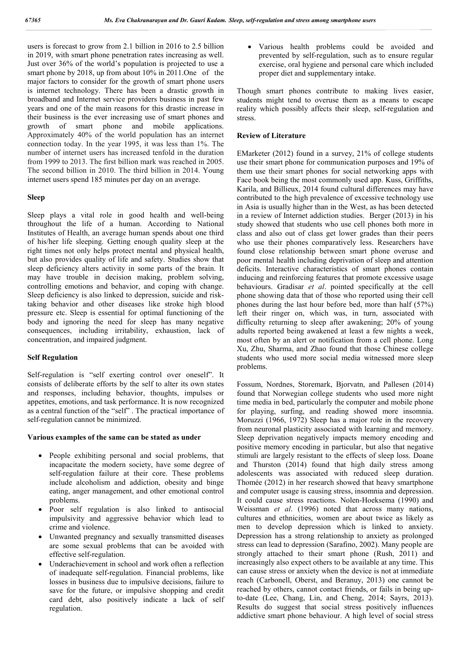users is forecast to grow from 2.1 billion in 2016 to 2.5 billion in 2019, with smart phone penetration rates increasing as well. Just over 36% of the world's population is projected to use a smart phone by 2018, up from about 10% in 2011.One of the major factors to consider for the growth of smart phone users is internet technology. There has been a drastic growth in broadband and Internet service providers business in past few years and one of the main reasons for this drastic increase in their business is the ever increasing use of smart phones and growth of smart phone and mobile applications. Approximately 40% of the world population has an internet connection today. In the year 1995, it was less than 1%. The number of internet users has increased tenfold in the duration from 1999 to 2013. The first billion mark was reached in 2005. The second billion in 2010. The third billion in 2014. Young internet users spend 185 minutes per day on an average.

#### **Sleep**

Sleep plays a vital role in good health and well-being throughout the life of a human. According to National Institutes of Health, an average human spends about one third of his/her life sleeping. Getting enough quality sleep at the right times not only helps protect mental and physical health, but also provides quality of life and safety. Studies show that sleep deficiency alters activity in some parts of the brain. It may have trouble in decision making, problem solving, controlling emotions and behavior, and coping with change. Sleep deficiency is also linked to depression, suicide and risktaking behavior and other diseases like stroke high blood pressure etc. Sleep is essential for optimal functioning of the body and ignoring the need for sleep has many negative consequences, including irritability, exhaustion, lack of concentration, and impaired judgment.

#### **Self Regulation**

Self-regulation is "self exerting control over oneself". It consists of deliberate efforts by the self to alter its own states and responses, including behavior, thoughts, impulses or appetites, emotions, and task performance. It is now recognized as a central function of the "self" . The practical importance of self-regulation cannot be minimized.

# **Various examples of the same can be stated as under**

- People exhibiting personal and social problems, that incapacitate the modern society, have some degree of self-regulation failure at their core. These problems include alcoholism and addiction, obesity and binge eating, anger management, and other emotional control problems.
- Poor self regulation is also linked to antisocial impulsivity and aggressive behavior which lead to crime and violence.
- Unwanted pregnancy and sexually transmitted diseases are some sexual problems that can be avoided with effective self-regulation.
- Underachievement in school and work often a reflection of inadequate self-regulation. Financial problems, like losses in business due to impulsive decisions, failure to save for the future, or impulsive shopping and credit card debt, also positively indicate a lack of self regulation.

 Various health problems could be avoided and prevented by self-regulation, such as to ensure regular exercise, oral hygiene and personal care which included proper diet and supplementary intake.

Though smart phones contribute to making lives easier, students might tend to overuse them as a means to escape reality which possibly affects their sleep, self-regulation and stress.

#### **Review of Literature**

EMarketer (2012) found in a survey, 21% of college students use their smart phone for communication purposes and 19% of them use their smart phones for social networking apps with Face book being the most commonly used app. Kuss, Griffiths, Karila, and Billieux, 2014 found cultural differences may have contributed to the high prevalence of excessive technology use in Asia is usually higher than in the West, as has been detected in a review of Internet addiction studies. Berger (2013) in his study showed that students who use cell phones both more in class and also out of class get lower grades than their peers who use their phones comparatively less. Researchers have found close relationship between smart phone overuse and poor mental health including deprivation of sleep and attention deficits. Interactive characteristics of smart phones contain inducing and reinforcing features that promote excessive usage behaviours. Gradisar *et al*. pointed specifically at the cell phone showing data that of those who reported using their cell phones during the last hour before bed, more than half (57%) left their ringer on, which was, in turn, associated with difficulty returning to sleep after awakening; 20% of young adults reported being awakened at least a few nights a week, most often by an alert or notification from a cell phone. Long Xu, Zhu, Sharma, and Zhao found that those Chinese college students who used more social media witnessed more sleep problems.

Fossum, Nordnes, Storemark, Bjorvatn, and Pallesen (2014) found that Norwegian college students who used more night time media in bed, particularly the computer and mobile phone for playing, surfing, and reading showed more insomnia. Moruzzi (1966, 1972) Sleep has a major role in the recovery from neuronal plasticity associated with learning and memory. Sleep deprivation negatively impacts memory encoding and positive memory encoding in particular, but also that negative stimuli are largely resistant to the effects of sleep loss. Doane and Thurston (2014) found that high daily stress among adolescents was associated with reduced sleep duration. Thomée (2012) in her research showed that heavy smartphone and computer usage is causing stress, insomnia and depression. It could cause stress reactions. Nolen-Hoeksema (1990) and Weissman *et al*. (1996) noted that across many nations, cultures and ethnicities, women are about twice as likely as men to develop depression which is linked to anxiety. Depression has a strong relationship to anxiety as prolonged stress can lead to depression (Sarafino, 2002). Many people are strongly attached to their smart phone (Rush, 2011) and increasingly also expect others to be available at any time. This can cause stress or anxiety when the device is not at immediate reach (Carbonell, Oberst, and Beranuy, 2013) one cannot be reached by others, cannot contact friends, or fails in being upto-date (Lee, Chang, Lin, and Cheng, 2014; Sayrs, 2013). Results do suggest that social stress positively influences addictive smart phone behaviour. A high level of social stress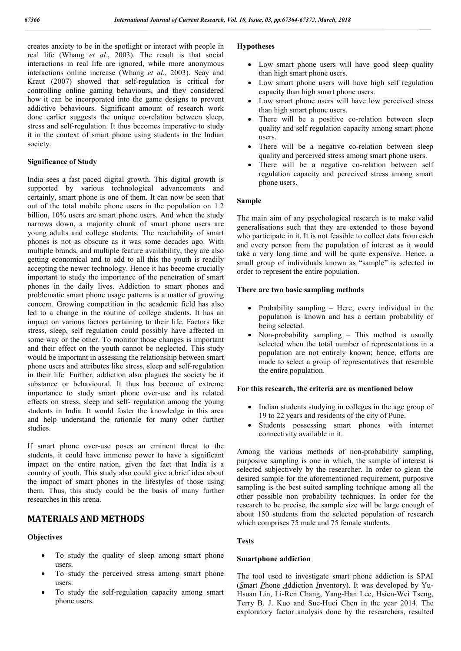creates anxiety to be in the spotlight or interact with people in real life (Whang *et al*., 2003). The result is that social interactions in real life are ignored, while more anonymous interactions online increase (Whang *et al*., 2003). Seay and Kraut (2007) showed that self-regulation is critical for controlling online gaming behaviours, and they considered how it can be incorporated into the game designs to prevent addictive behaviours. Significant amount of research work done earlier suggests the unique co-relation between sleep. stress and self-regulation. It thus becomes imperative to study it in the context of smart phone using students in the Indian society.

#### **Significance of Study**

India sees a fast paced digital growth. This digital growth is supported by various technological advancements and certainly, smart phone is one of them. It can now be seen that out of the total mobile phone users in the population on 1.2 billion, 10% users are smart phone users. And when the study narrows down, a majority chunk of smart phone users are young adults and college students. The reachability of smart phones is not as obscure as it was some decades ago. With multiple brands, and multiple feature availability, they are also getting economical and to add to all this the youth is readily accepting the newer technology. Hence it has become crucially important to study the importance of the penetration of smart phones in the daily lives. Addiction to smart phones and problematic smart phone usage patterns is a matter of growing concern. Growing competition in the academic field has also led to a change in the routine of college students. It has an impact on various factors pertaining to their life. Factors like stress, sleep, self regulation could possibly have affected in some way or the other. To monitor those changes is important and their effect on the youth cannot be neglected. This study would be important in assessing the relationship between smart phone users and attributes like stress, sleep and self-regulation in their life. Further, addiction also plagues the society be it substance or behavioural. It thus has become of extreme importance to study smart phone over-use and its related effects on stress, sleep and self- regulation among the young students in India. It would foster the knowledge in this area and help understand the rationale for many other further studies.

If smart phone over-use poses an eminent threat to the students, it could have immense power to have a significant impact on the entire nation, given the fact that India is a country of youth. This study also could give a brief idea about the impact of smart phones in the lifestyles of those using them. Thus, this study could be the basis of many further researches in this arena.

# **MATERIALS AND METHODS**

#### **Objectives**

- To study the quality of sleep among smart phone users.
- To study the perceived stress among smart phone users.
- To study the self-regulation capacity among smart phone users.

#### **Hypotheses**

- Low smart phone users will have good sleep quality than high smart phone users.
- Low smart phone users will have high self regulation capacity than high smart phone users.
- Low smart phone users will have low perceived stress than high smart phone users.
- There will be a positive co-relation between sleep quality and self regulation capacity among smart phone users.
- There will be a negative co-relation between sleep quality and perceived stress among smart phone users.
- There will be a negative co-relation between self regulation capacity and perceived stress among smart phone users.

#### **Sample**

The main aim of any psychological research is to make valid generalisations such that they are extended to those beyond who participate in it. It is not feasible to collect data from each and every person from the population of interest as it would take a very long time and will be quite expensive. Hence, a small group of individuals known as "sample" is selected in order to represent the entire population.

#### **There are two basic sampling methods**

- Probability sampling  $-$  Here, every individual in the population is known and has a certain probability of being selected.
- Non-probability sampling This method is usually selected when the total number of representations in a population are not entirely known; hence, efforts are made to select a group of representatives that resemble the entire population.

#### **For this research, the criteria are as mentioned below**

- Indian students studying in colleges in the age group of 19 to 22 years and residents of the city of Pune.
- Students possessing smart phones with internet connectivity available in it.

Among the various methods of non-probability sampling, purposive sampling is one in which, the sample of interest is selected subjectively by the researcher. In order to glean the desired sample for the aforementioned requirement, purposive sampling is the best suited sampling technique among all the other possible non probability techniques. In order for the research to be precise, the sample size will be large enough of about 150 students from the selected population of research which comprises 75 male and 75 female students.

#### **Tests**

#### **Smartphone addiction**

The tool used to investigate smart phone addiction is SPAI (*S*mart *P*hone *A*ddiction *I*nventory). It was developed by Yu-Hsuan Lin, Li-Ren Chang, Yang-Han Lee, Hsien-Wei Tseng, Terry B. J. Kuo and Sue-Huei Chen in the year 2014. The exploratory factor analysis done by the researchers, resulted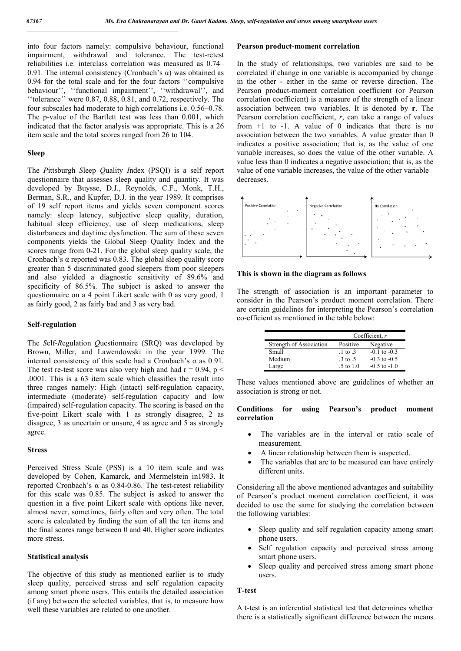into four factors namely: compulsive behaviour, functional impairment, withdrawal and tolerance. The test-retest reliabilities i.e. interclass correlation was measured as 0.74– 0.91. The internal consistency (Cronbach's  $\alpha$ ) was obtained as 0.94 for the total scale and for the four factors ''compulsive behaviour'', ''functional impairment'', ''withdrawal'', and ''tolerance'' were 0.87, 0.88, 0.81, and 0.72, respectively. The four subscales had moderate to high correlations i.e. 0.56–0.78. The p-value of the Bartlett test was less than 0.001, which indicated that the factor analysis was appropriate. This is a 26 item scale and the total scores ranged from 26 to 104.

#### **Sleep**

The *P*ittsburgh *S*leep *Q*uality *I*ndex (PSQI) is a self report questionnaire that assesses sleep quality and quantity. It was developed by Buysse, D.J., Reynolds, C.F., Monk, T.H., Berman, S.R., and Kupfer, D.J. in the year 1989. It comprises of 19 self report items and yields seven component scores namely: sleep latency, subjective sleep quality, duration, habitual sleep efficiency, use of sleep medications, sleep disturbances and daytime dysfunction. The sum of these seven components yields the Global Sleep Quality Index and the scores range from 0-21. For the global sleep quality scale, the Cronbach's  $\alpha$  reported was 0.83. The global sleep quality score greater than 5 discriminated good sleepers from poor sleepers and also yielded a diagnostic sensitivity of 89.6% and specificity of 86.5%. The subject is asked to answer the questionnaire on a 4 point Likert scale with 0 as very good, 1 as fairly good, 2 as fairly bad and 3 as very bad.

#### **Self-regulation**

The *S*elf-*R*egulation *Q*uestionnaire (SRQ) was developed by Brown, Miller, and Lawendowski in the year 1999. The internal consistency of this scale had a Cronbach's  $\alpha$  as 0.91. The test re-test score was also very high and had  $r = 0.94$ ,  $p <$ .0001. This is a 63 item scale which classifies the result into three ranges namely: High (intact) self-regulation capacity, intermediate (moderate) self-regulation capacity and low (impaired) self-regulation capacity. The scoring is based on the five-point Likert scale with 1 as strongly disagree, 2 as disagree, 3 as uncertain or unsure, 4 as agree and 5 as strongly agree.

#### **Stress**

Perceived Stress Scale (PSS) is a 10 item scale and was developed by Cohen, Kamarck, and Mermelstein in1983. It reported Cronbach's α as 0.84-0.86. The test-retest reliability for this scale was 0.85. The subject is asked to answer the question in a five point Likert scale with options like never, almost never, sometimes, fairly often and very often. The total score is calculated by finding the sum of all the ten items and the final scores range between 0 and 40. Higher score indicates more stress.

#### **Statistical analysis**

The objective of this study as mentioned earlier is to study sleep quality, perceived stress and self regulation capacity among smart phone users. This entails the detailed association (if any) between the selected variables, that is, to measure how well these variables are related to one another.

#### **Pearson product-moment correlation**

In the study of relationships, two variables are said to be correlated if change in one variable is accompanied by change in the other - either in the same or reverse direction. The Pearson product-moment correlation coefficient (or Pearson correlation coefficient) is a measure of the strength of a linear association between two variables. It is denoted by **r**. The Pearson correlation coefficient, *r*, can take a range of values from  $+1$  to  $-1$ . A value of 0 indicates that there is no association between the two variables. A value greater than 0 indicates a positive association; that is, as the value of one variable increases, so does the value of the other variable. A value less than 0 indicates a negative association; that is, as the value of one variable increases, the value of the other variable decreases.



# **This is shown in the diagram as follows**

The strength of association is an important parameter to consider in the Pearson's product moment correlation. There are certain guidelines for interpreting the Pearson's correlation co-efficient as mentioned in the table below:

|                         | Coefficient, $r$               |                  |  |
|-------------------------|--------------------------------|------------------|--|
| Strength of Association | Positive                       | Negative         |  |
| Small                   | $\pm 1$ to $\pm 3$             | $-0.1$ to $-0.3$ |  |
| Medium                  | $\frac{3}{5}$ to $\frac{5}{5}$ | $-0.3$ to $-0.5$ |  |
| Large                   | $.5$ to $1.0$                  | $-0.5$ to $-1.0$ |  |

These values mentioned above are guidelines of whether an association is strong or not.

#### **Conditions for using Pearson's product moment correlation**

- The variables are in the interval or ratio scale of measurement.
- A linear relationship between them is suspected.
- The variables that are to be measured can have entirely different units.

Considering all the above mentioned advantages and suitability of Pearson's product moment correlation coefficient, it was decided to use the same for studying the correlation between the following variables:

- Sleep quality and self regulation capacity among smart phone users.
- Self regulation capacity and perceived stress among smart phone users.
- Sleep quality and perceived stress among smart phone users.

#### **T-test**

A t-test is an inferential statistical test that determines whether there is a statistically significant difference between the means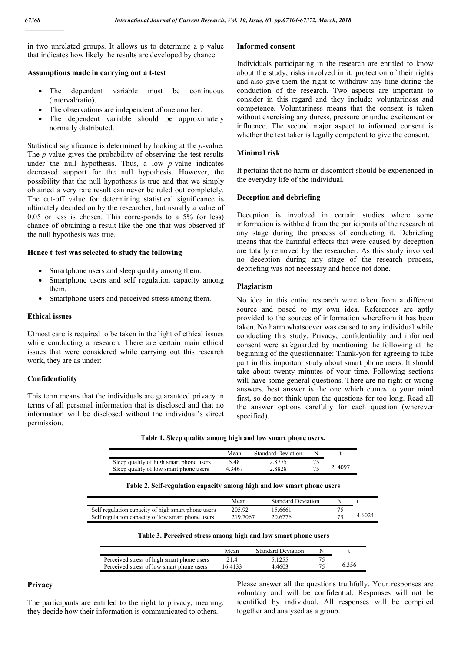in two unrelated groups. It allows us to determine a p value that indicates how likely the results are developed by chance.

#### **Assumptions made in carrying out a t-test**

- The dependent variable must be continuous (interval/ratio).
- The observations are independent of one another.
- The dependent variable should be approximately normally distributed.

Statistical significance is determined by looking at the *p*-value. The *p*-value gives the probability of observing the test results under the null hypothesis. Thus, a low *p*-value indicates decreased support for the null hypothesis. However, the possibility that the null hypothesis is true and that we simply obtained a very rare result can never be ruled out completely. The cut-off value for determining statistical significance is ultimately decided on by the researcher, but usually a value of 0.05 or less is chosen. This corresponds to a 5% (or less) chance of obtaining a result like the one that was observed if the null hypothesis was true.

#### **Hence t-test was selected to study the following**

- Smartphone users and sleep quality among them.
- Smartphone users and self regulation capacity among them.
- Smartphone users and perceived stress among them.

#### **Ethical issues**

Utmost care is required to be taken in the light of ethical issues while conducting a research. There are certain main ethical issues that were considered while carrying out this research work, they are as under:

#### **Confidentiality**

This term means that the individuals are guaranteed privacy in terms of all personal information that is disclosed and that no information will be disclosed without the individual's direct permission.

# **Informed consent**

Individuals participating in the research are entitled to know about the study, risks involved in it, protection of their rights and also give them the right to withdraw any time during the conduction of the research. Two aspects are important to consider in this regard and they include: voluntariness and competence. Voluntariness means that the consent is taken without exercising any duress, pressure or undue excitement or influence. The second major aspect to informed consent is whether the test taker is legally competent to give the consent.

#### **Minimal risk**

It pertains that no harm or discomfort should be experienced in the everyday life of the individual.

#### **Deception and debriefing**

Deception is involved in certain studies where some information is withheld from the participants of the research at any stage during the process of conducting it. Debriefing means that the harmful effects that were caused by deception are totally removed by the researcher. As this study involved no deception during any stage of the research process, debriefing was not necessary and hence not done.

# **Plagiarism**

No idea in this entire research were taken from a different source and posed to my own idea. References are aptly provided to the sources of information wherefrom it has been taken. No harm whatsoever was caused to any individual while conducting this study. Privacy, confidentiality and informed consent were safeguarded by mentioning the following at the beginning of the questionnaire: Thank-you for agreeing to take part in this important study about smart phone users. It should take about twenty minutes of your time. Following sections will have some general questions. There are no right or wrong answers. best answer is the one which comes to your mind first, so do not think upon the questions for too long. Read all the answer options carefully for each question (wherever specified).

**Table 1. Sleep quality among high and low smart phone users.**

|                                         | Mean   | <b>Standard Deviation</b> |    |        |
|-----------------------------------------|--------|---------------------------|----|--------|
| Sleep quality of high smart phone users | 5.48   | 2.8775                    |    |        |
| Sleep quality of low smart phone users  | 4.3467 | 2.8828                    | 75 | 2.4097 |

| Table 2. Self-regulation capacity among high and low smart phone users |  |  |
|------------------------------------------------------------------------|--|--|
|                                                                        |  |  |

|                                                    | Mean     | <b>Standard Deviation</b> |    |        |
|----------------------------------------------------|----------|---------------------------|----|--------|
| Self regulation capacity of high smart phone users | 205.92   | 15.6661                   |    |        |
| Self regulation capacity of low smart phone users  | 219.7067 | 20.6776                   | 75 | 4.6024 |

| ulation capacity of low smart phone users<br>219.706<br>20.6776 |  |
|-----------------------------------------------------------------|--|
|                                                                 |  |
|                                                                 |  |

|  |  |  | Table 3. Perceived stress among high and low smart phone users |
|--|--|--|----------------------------------------------------------------|
|--|--|--|----------------------------------------------------------------|

|                                            | Mean   | <b>Standard Deviation</b> |    |       |
|--------------------------------------------|--------|---------------------------|----|-------|
| Perceived stress of high smart phone users | 214    | 5.1255                    | 75 |       |
| Perceived stress of low smart phone users  | 164133 | 4 4 6 0 3                 | 75 | 6.356 |

#### **Privacy**

The participants are entitled to the right to privacy, meaning, they decide how their information is communicated to others.

Please answer all the questions truthfully. Your responses are voluntary and will be confidential. Responses will not be identified by individual. All responses will be compiled together and analysed as a group.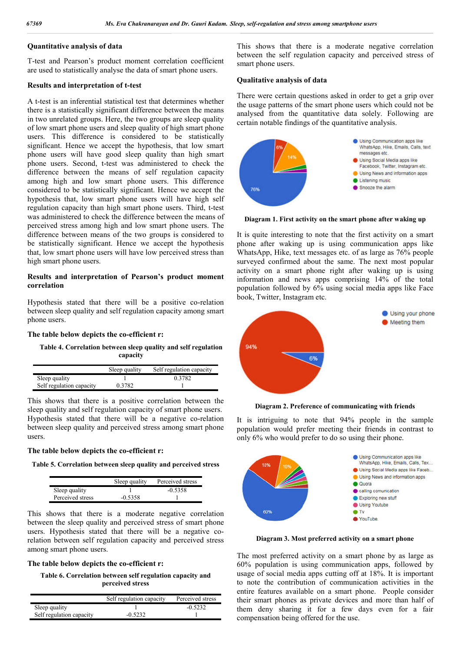## **Quantitative analysis of data**

T-test and Pearson's product moment correlation coefficient are used to statistically analyse the data of smart phone users.

#### **Results and interpretation of t-test**

A t-test is an inferential statistical test that determines whether there is a statistically significant difference between the means in two unrelated groups. Here, the two groups are sleep quality of low smart phone users and sleep quality of high smart phone users. This difference is considered to be statistically significant. Hence we accept the hypothesis, that low smart phone users will have good sleep quality than high smart phone users. Second, t-test was administered to check the difference between the means of self regulation capacity among high and low smart phone users. This difference considered to be statistically significant. Hence we accept the hypothesis that, low smart phone users will have high self regulation capacity than high smart phone users. Third, t-test was administered to check the difference between the means of perceived stress among high and low smart phone users. The difference between means of the two groups is considered to be statistically significant. Hence we accept the hypothesis that, low smart phone users will have low perceived stress than high smart phone users.

# **Results and interpretation of Pearson's product moment correlation**

Hypothesis stated that there will be a positive co-relation between sleep quality and self regulation capacity among smart phone users.

#### **The table below depicts the co-efficient r:**

**Table 4. Correlation between sleep quality and self regulation capacity**

|                          | Sleep quality | Self regulation capacity |
|--------------------------|---------------|--------------------------|
| Sleep quality            |               | 0.3782                   |
| Self regulation capacity | 0.3782        |                          |

This shows that there is a positive correlation between the sleep quality and self regulation capacity of smart phone users. Hypothesis stated that there will be a negative co-relation between sleep quality and perceived stress among smart phone users.

#### **The table below depicts the co-efficient r:**

**Table 5. Correlation between sleep quality and perceived stress**

|                  | Sleep quality | Perceived stress |
|------------------|---------------|------------------|
| Sleep quality    |               | $-0.5358$        |
| Perceived stress | $-0.5358$     |                  |

This shows that there is a moderate negative correlation between the sleep quality and perceived stress of smart phone users. Hypothesis stated that there will be a negative corelation between self regulation capacity and perceived stress among smart phone users.

#### **The table below depicts the co-efficient r:**

**Table 6. Correlation between self regulation capacity and perceived stress**

|                          | Self regulation capacity | Perceived stress |
|--------------------------|--------------------------|------------------|
| Sleep quality            |                          | $-0.5232$        |
| Self regulation capacity | $-0.5232$                |                  |

This shows that there is a moderate negative correlation between the self regulation capacity and perceived stress of smart phone users.

#### **Qualitative analysis of data**

There were certain questions asked in order to get a grip over the usage patterns of the smart phone users which could not be analysed from the quantitative data solely. Following are certain notable findings of the quantitative analysis.



**Diagram 1. First activity on the smart phone after waking up**

It is quite interesting to note that the first activity on a smart phone after waking up is using communication apps like WhatsApp, Hike, text messages etc. of as large as 76% people surveyed confirmed about the same. The next most popular activity on a smart phone right after waking up is using information and news apps comprising 14% of the total population followed by 6% using social media apps like Face book, Twitter, Instagram etc.



**Diagram 2. Preference of communicating with friends**

It is intriguing to note that 94% people in the sample population would prefer meeting their friends in contrast to only 6% who would prefer to do so using their phone.



**Diagram 3. Most preferred activity on a smart phone**

The most preferred activity on a smart phone by as large as 60% population is using communication apps, followed by usage of social media apps cutting off at 18%. It is important to note the contribution of communication activities in the entire features available on a smart phone. People consider their smart phones as private devices and more than half of them deny sharing it for a few days even for a fair compensation being offered for the use.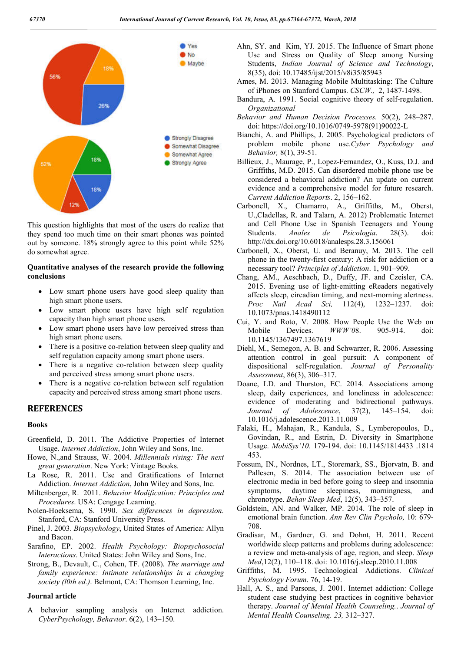

This question highlights that most of the users do realize that they spend too much time on their smart phones was pointed out by someone. 18% strongly agree to this point while 52% do somewhat agree.

# **Quantitative analyses of the research provide the following conclusions**

- Low smart phone users have good sleep quality than high smart phone users.
- Low smart phone users have high self regulation capacity than high smart phone users.
- Low smart phone users have low perceived stress than high smart phone users.
- There is a positive co-relation between sleep quality and self regulation capacity among smart phone users.
- There is a negative co-relation between sleep quality and perceived stress among smart phone users.
- There is a negative co-relation between self regulation capacity and perceived stress among smart phone users.

# **REFERENCES**

#### **Books**

- Greenfield, D. 2011. The Addictive Properties of Internet Usage. *Internet Addiction*, John Wiley and Sons, Inc.
- Howe, N.,and Strauss, W. 2004. *Millennials rising: The next great generation*. New York: Vintage Books.
- La Rose, R. 2011. Use and Gratifications of Internet Addiction. *Internet Addiction*, John Wiley and Sons, Inc.
- Miltenberger, R. 2011. *Behavior Modification: Principles and Procedures*. USA: Cengage Learning.
- Nolen-Hoeksema, S. 1990. *Sex differences in depression.* Stanford, CA: Stanford University Press.
- Pinel, J. 2003. *Biopsychology*, United States of America: Allyn and Bacon.
- Sarafino, EP. 2002. *Health Psychology: Biopsychosocial Interactions*. United States: John Wiley and Sons, Inc.
- Strong, B., Devault, C., Cohen, TF. (2008). *The marriage and family experience: Intimate relationships in a changing society (l0th ed.)*. Belmont, CA: Thomson Learning, Inc.

#### **Journal article**

A behavior sampling analysis on Internet addiction. *CyberPsychology, Behavior*. 6(2), 143–150.

- Ahn, SY. and Kim, YJ. 2015. The Influence of Smart phone Use and Stress on Quality of Sleep among Nursing Students, *Indian Journal of Science and Technology*, 8(35), doi: 10.17485/ijst/2015/v8i35/85943
- Ames, M. 2013. Managing Mobile Multitasking: The Culture of iPhones on Stanford Campus. *CSCW.,* 2, 1487-1498.
- Bandura, A. 1991. Social cognitive theory of self-regulation. *Organizational*
- *Behavior and Human Decision Processes.* 50(2), 248–287. doi: https://doi.org/10.1016/0749-5978(91)90022-L
- Bianchi, A. and Phillips, J. 2005. Psychological predictors of problem mobile phone use.*Cyber Psychology and Behavior,* 8(1), 39-51.
- Billieux, J., Maurage, P., Lopez-Fernandez, O., Kuss, D.J. and Griffiths, M.D. 2015. Can disordered mobile phone use be considered a behavioral addiction? An update on current evidence and a comprehensive model for future research. *Current Addiction Reports*. 2, 156–162.
- Carbonell, X., Chamarro, A., Griffiths, M., Oberst, U.,Cladellas, R. and Talarn, A. 2012) Problematic Internet and Cell Phone Use in Spanish Teenagers and Young Students. *Anales de Psicologia*. 28(3). doi: http://dx.doi.org/10.6018/analesps.28.3.156061
- Carbonell, X., Oberst, U. and Beranuy, M. 2013. The cell phone in the twenty-first century: A risk for addiction or a necessary tool? *Principles of Addiction*. 1, 901–909.
- Chang, AM., Aeschbach, D., Duffy, JF. and Czeisler, CA. 2015. Evening use of light-emitting eReaders negatively affects sleep, circadian timing, and next-morning alertness. *Proc Natl Acad Sci,* 112(4), 1232–1237. doi: 10.1073/pnas.1418490112
- Cui, Y. and Roto, V. 2008. How People Use the Web on Mobile Devices. *WWW'0*8. 905-914. doi: 10.1145/1367497.1367619
- Diehl, M., Semegon, A. B. and Schwarzer, R. 2006. Assessing attention control in goal pursuit: A component of dispositional self-regulation. *Journal of Personality Assessment*, 86(3), 306–317.
- Doane, LD. and Thurston, EC. 2014. Associations among sleep, daily experiences, and loneliness in adolescence: evidence of moderating and bidirectional pathways. *Journal of Adolescence*, 37(2), 145–154. doi: 10.1016/j.adolescence.2013.11.009
- Falaki, H., Mahajan, R., Kandula, S., Lymberopoulos, D., Govindan, R., and Estrin, D. Diversity in Smartphone Usage. *MobiSys'10.* 179-194. doi: 10.1145/1814433 .1814 453.
- Fossum, IN., Nordnes, LT., Storemark, SS., Bjorvatn, B. and Pallesen, S. 2014. The association between use of electronic media in bed before going to sleep and insomnia symptoms, daytime sleepiness, morningness, and chronotype. *Behav Sleep Med*, 12(5), 343–357.
- Goldstein, AN. and Walker, MP. 2014. The role of sleep in emotional brain function. *Ann Rev Clin Psycholo,* 10: 679- 708.
- Gradisar, M., Gardner, G. and Dohnt, H. 2011. Recent worldwide sleep patterns and problems during adolescence: a review and meta-analysis of age, region, and sleep. *Sleep Med*,12(2), 110–118. doi: 10.1016/j.sleep.2010.11.008
- Griffiths, M. 1995. Technological Addictions. *Clinical Psychology Forum*. 76, 14-19.
- Hall, A. S., and Parsons, J. 2001. Internet addiction: College student case studying best practices in cognitive behavior therapy. *Journal of Mental Health Counseling.*. *Journal of Mental Health Counseling. 23,* 312–327.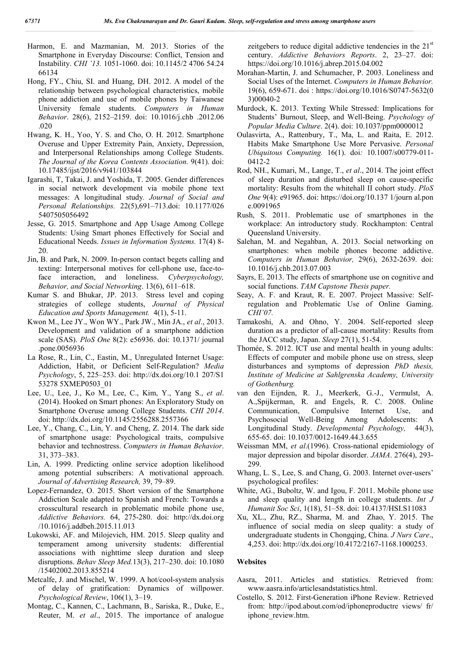- Harmon, E. and Mazmanian, M. 2013. Stories of the Smartphone in Everyday Discourse: Conflict, Tension and Instability. *CHI '13.* 1051-1060. doi: 10.1145/2 4706 54.24 66134
- Hong, FY., Chiu, SI. and Huang, DH. 2012. A model of the relationship between psychological characteristics, mobile phone addiction and use of mobile phones by Taiwanese University female students. *Computers in Human Behavior*. 28(6), 2152–2159. doi: 10.1016/j.chb .2012.06 .020
- Hwang, K. H., Yoo, Y. S. and Cho, O. H. 2012. Smartphone Overuse and Upper Extremity Pain, Anxiety, Depression, and Interpersonal Relationships among College Students. *The Journal of the Korea Contents Association.* 9(41). doi: 10.17485/ijst/2016/v9i41/103844
- Igarashi, T, Takai, J. and Yoshida, T. 2005. Gender differences in social network development via mobile phone text messages: A longitudinal study*. Journal of Social and Personal Relationships.* 22(5),691–713.doi: 10.1177/026 5407505056492
- Jesse, G. 2015. Smartphone and App Usage Among College Students: Using Smart phones Effectively for Social and Educational Needs. *Issues in Information Systems.* 17(4) 8- 20.
- Jin, B. and Park, N. 2009. In-person contact begets calling and texting: Interpersonal motives for cell-phone use, face-toface interaction, and loneliness. *Cyberpsychology, Behavior, and Social Networking*. 13(6), 611–618.
- Kumar S. and Bhukar, JP. 2013. Stress level and coping strategies of college students, *Journal of Physical Education and Sports Management.* 4(1), 5-11.
- Kwon M., Lee JY., Won WY., Park JW., Min JA., *et al*., 2013. Development and validation of a smartphone addiction scale (SAS). *PloS One* 8(2): e56936. doi: 10.1371/ journal .pone.0056936
- La Rose, R., Lin, C., Eastin, M., Unregulated Internet Usage: Addiction, Habit, or Deficient Self-Regulation? *Media Psychology*, 5, 225–253. doi: http://dx.doi.org/10.1 207/S1 53278 5XMEP0503\_01
- Lee, U., Lee, J., Ko M., Lee, C., Kim, Y., Yang S., *et al*. (2014). Hooked on Smart phones: An Exploratory Study on Smartphone Overuse among College Students. *CHI 2014*. doi: http://dx.doi.org/10.1145/2556288.2557366
- Lee, Y., Chang, C., Lin, Y. and Cheng, Z. 2014. The dark side of smartphone usage: Psychological traits, compulsive behavior and technostress. *Computers in Human Behavior*. 31, 373–383.
- Lin, A. 1999. Predicting online service adoption likelihood among potential subscribers: A motivational approach. *Journal of Advertising Research,* 39, 79–89.
- Lopez-Fernandez, O. 2015. Short version of the Smartphone Addiction Scale adapted to Spanish and French: Towards a crosscultural research in problematic mobile phone use, *Addictive Behaviors.* 64, 275-280. doi: http://dx.doi.org /10.1016/j.addbeh.2015.11.013
- Lukowski, AF. and Milojevich, HM. 2015. Sleep quality and temperament among university students: differential associations with nighttime sleep duration and sleep disruptions. *Behav Sleep Med.*13(3), 217–230. doi: 10.1080 /15402002.2013.855214
- Metcalfe, J. and Mischel, W. 1999. A hot/cool-system analysis of delay of gratification: Dynamics of willpower. *Psychological Review*, 106(1), 3–19.
- Montag, C., Kannen, C., Lachmann, B., Sariska, R., Duke, E., Reuter, M. *et al*., 2015. The importance of analogue

zeitgebers to reduce digital addictive tendencies in the  $21<sup>st</sup>$ century. *Addictive Behaviors Reports*. 2, 23–27. doi: https://doi.org/10.1016/j.abrep.2015.04.002

- Morahan-Martin, J. and Schumacher, P. 2003. Loneliness and Social Uses of the Internet. *Computers in Human Behavior.*  19(6), 659-671. doi : https://doi.org/10.1016/S0747-5632(0 3)00040-2
- Murdock, K. 2013. Texting While Stressed: Implications for Students' Burnout, Sleep, and Well-Being. *Psychology of Popular Media Culture*. 2(4). doi: 10.1037/ppm0000012
- Oulasvirta, A., Rattenbury, T., Ma, L. and Raita, E. 2012. Habits Make Smartphone Use More Pervasive. *Personal Ubiquitous Computing.* 16(1). doi*:* 10.1007/s00779-011- 0412-2
- Rod, NH., Kumari, M., Lange, T., *et al*., 2014. The joint effect of sleep duration and disturbed sleep on cause-specific mortality: Results from the whitehall II cohort study. *PloS One* 9(4): e91965. doi: https://doi.org/10.137 1/journ al.pon e.0091965
- Rush, S. 2011. Problematic use of smartphones in the workplace: An introductory study. Rockhampton: Central Queensland University.
- Salehan, M. and Negahban, A. 2013. Social networking on smartphones: when mobile phones become addictive. *Computers in Human Behavior,* 29(6), 2632-2639. doi: 10.1016/j.chb.2013.07.003
- Sayrs, E. 2013. The effects of smartphone use on cognitive and social functions. *TAM Capstone Thesis paper.*
- Seay, A. F. and Kraut, R. E. 2007. Project Massive: Selfregulation and Problematic Use of Online Gaming. *CHI'07.*
- Tamakoshi, A. and Ohno, Y. 2004. Self-reported sleep duration as a predictor of all-cause mortality: Results from the JACC study, Japan. *Sleep* 27(1), 51-54.
- Thomée, S. 2012. ICT use and mental health in young adults: Effects of computer and mobile phone use on stress, sleep disturbances and symptoms of depression *PhD thesis, Institute of Medicine at Sahlgrenska Academy, University of Gothenburg.*
- van den Eijnden, R. J., Meerkerk, G.-J., Vermulst, A. A.,Spijkerman, R. and Engels, R. C. 2008. Online Communication, Compulsive Internet Use, and Psychosocial Well-Being Among Adolescents: A Longitudinal Study. *Developmental Psychology,* 44(3), 655-65. doi: 10.1037/0012-1649.44.3.655
- Weissman MM, *et al*.(1996). Cross-national epidemiology of major depression and bipolar disorder. *JAMA*. 276(4), 293- 299.
- Whang, L. S., Lee, S. and Chang, G. 2003. Internet over-users' psychological profiles:
- White, AG., Buboltz, W. and Igou, F. 2011. Mobile phone use and sleep quality and length in college students. *Int J Humanit Soc Sci*, 1(18), 51–58. doi: 10.4137/HSI.S11083
- Xu, XL., Zhu, RZ., Sharma, M. and Zhao, Y. 2015. The influence of social media on sleep quality: a study of undergraduate students in Chongqing, China. *J Nurs Care*., 4,253. doi: http://dx.doi.org/10.4172/2167-1168.1000253.

# **Websites**

- Aasra, 2011. Articles and statistics. Retrieved from: www.aasra.info/articlesandstatistics.html.
- Costello, S. 2012. First-Generation iPhone Review. Retrieved from: http://ipod.about.com/od/iphoneproductre views/ fr/ iphone\_review.htm.